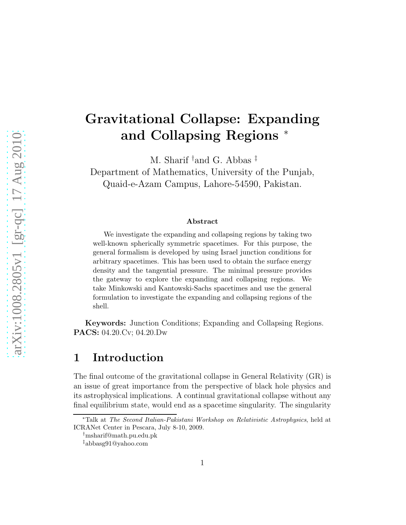# Gravitational Collapse: Expanding and Collapsing Regions <sup>∗</sup>

M. Sharif †and G. Abbas ‡

Department of Mathematics, University of the Punjab, Quaid-e-Azam Campus, Lahore-54590, Pakistan.

#### Abstract

We investigate the expanding and collapsing regions by taking two well-known spherically symmetric spacetimes. For this purpose, the general formalism is developed by using Israel junction conditions for arbitrary spacetimes. This has been used to obtain the surface energy density and the tangential pressure. The minimal pressure provides the gateway to explore the expanding and collapsing regions. We take Minkowski and Kantowski-Sachs spacetimes and use the general formulation to investigate the expanding and collapsing regions of the shell.

Keywords: Junction Conditions; Expanding and Collapsing Regions. PACS: 04.20.Cv; 04.20.Dw

### 1 Introduction

The final outcome of the gravitational collapse in General Relativity (GR) is an issue of great importance from the perspective of black hole physics and its astrophysical implications. A continual gravitational collapse without any final equilibrium state, would end as a spacetime singularity. The singularity

<sup>∗</sup>Talk at The Second Italian-Pakistani Workshop on Relativistic Astrophysics, held at ICRANet Center in Pescara, July 8-10, 2009.

<sup>†</sup>msharif@math.pu.edu.pk

<sup>‡</sup>abbasg91@yahoo.com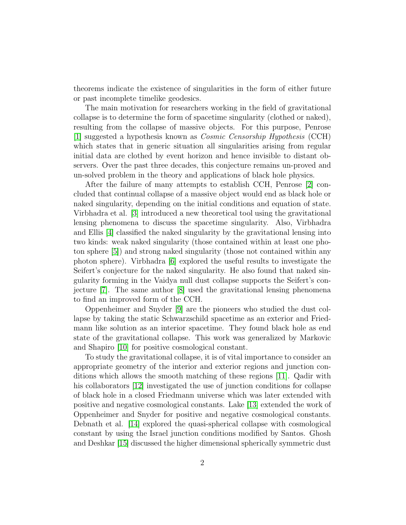theorems indicate the existence of singularities in the form of either future or past incomplete timelike geodesics.

The main motivation for researchers working in the field of gravitational collapse is to determine the form of spacetime singularity (clothed or naked), resulting from the collapse of massive objects. For this purpose, Penrose [\[1\]](#page-10-0) suggested a hypothesis known as *Cosmic Censorship Hypothesis* (CCH) which states that in generic situation all singularities arising from regular initial data are clothed by event horizon and hence invisible to distant observers. Over the past three decades, this conjecture remains un-proved and un-solved problem in the theory and applications of black hole physics.

After the failure of many attempts to establish CCH, Penrose [\[2\]](#page-10-1) concluded that continual collapse of a massive object would end as black hole or naked singularity, depending on the initial conditions and equation of state. Virbhadra et al. [\[3\]](#page-10-2) introduced a new theoretical tool using the gravitational lensing phenomena to discuss the spacetime singularity. Also, Virbhadra and Ellis [\[4\]](#page-10-3) classified the naked singularity by the gravitational lensing into two kinds: weak naked singularity (those contained within at least one photon sphere [\[5\]](#page-10-4)) and strong naked singularity (those not contained within any photon sphere). Virbhadra [\[6\]](#page-10-5) explored the useful results to investigate the Seifert's conjecture for the naked singularity. He also found that naked singularity forming in the Vaidya null dust collapse supports the Seifert's conjecture [\[7\]](#page-10-6). The same author [\[8\]](#page-10-7) used the gravitational lensing phenomena to find an improved form of the CCH.

Oppenheimer and Snyder [\[9\]](#page-10-8) are the pioneers who studied the dust collapse by taking the static Schwarzschild spacetime as an exterior and Friedmann like solution as an interior spacetime. They found black hole as end state of the gravitational collapse. This work was generalized by Markovic and Shapiro [\[10\]](#page-10-9) for positive cosmological constant.

To study the gravitational collapse, it is of vital importance to consider an appropriate geometry of the interior and exterior regions and junction conditions which allows the smooth matching of these regions [\[11\]](#page-10-10). Qadir with his collaborators [\[12\]](#page-10-11) investigated the use of junction conditions for collapse of black hole in a closed Friedmann universe which was later extended with positive and negative cosmological constants. Lake [\[13\]](#page-11-0) extended the work of Oppenheimer and Snyder for positive and negative cosmological constants. Debnath et al. [\[14\]](#page-11-1) explored the quasi-spherical collapse with cosmological constant by using the Israel junction conditions modified by Santos. Ghosh and Deshkar [\[15\]](#page-11-2) discussed the higher dimensional spherically symmetric dust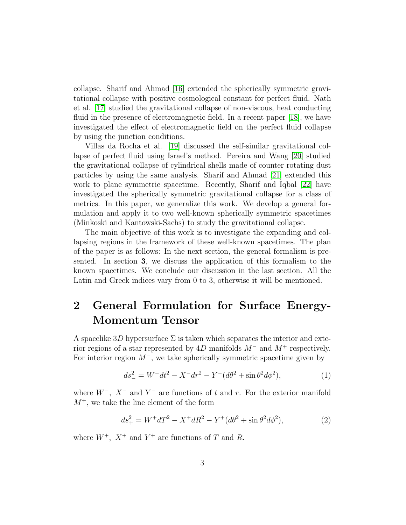collapse. Sharif and Ahmad [\[16\]](#page-11-3) extended the spherically symmetric gravitational collapse with positive cosmological constant for perfect fluid. Nath et al. [\[17\]](#page-11-4) studied the gravitational collapse of non-viscous, heat conducting fluid in the presence of electromagnetic field. In a recent paper [\[18\]](#page-11-5), we have investigated the effect of electromagnetic field on the perfect fluid collapse by using the junction conditions.

Villas da Rocha et al. [\[19\]](#page-11-6) discussed the self-similar gravitational collapse of perfect fluid using Israel's method. Pereira and Wang [\[20\]](#page-11-7) studied the gravitational collapse of cylindrical shells made of counter rotating dust particles by using the same analysis. Sharif and Ahmad [\[21\]](#page-11-8) extended this work to plane symmetric spacetime. Recently, Sharif and Iqbal [\[22\]](#page-11-9) have investigated the spherically symmetric gravitational collapse for a class of metrics. In this paper, we generalize this work. We develop a general formulation and apply it to two well-known spherically symmetric spacetimes (Minkoski and Kantowski-Sachs) to study the gravitational collapse.

The main objective of this work is to investigate the expanding and collapsing regions in the framework of these well-known spacetimes. The plan of the paper is as follows: In the next section, the general formalism is presented. In section 3, we discuss the application of this formalism to the known spacetimes. We conclude our discussion in the last section. All the Latin and Greek indices vary from 0 to 3, otherwise it will be mentioned.

# 2 General Formulation for Surface Energy-Momentum Tensor

A spacelike  $3D$  hypersurface  $\Sigma$  is taken which separates the interior and exterior regions of a star represented by 4D manifolds  $M^-$  and  $M^+$  respectively. For interior region  $M^-$ , we take spherically symmetric spacetime given by

$$
ds_{-}^{2} = W^{-}dt^{2} - X^{-}dr^{2} - Y^{-}(d\theta^{2} + \sin\theta^{2}d\phi^{2}),
$$
\n(1)

where  $W^-$ ,  $X^-$  and  $Y^-$  are functions of t and r. For the exterior manifold  $M^+$ , we take the line element of the form

$$
ds_{+}^{2} = W^{+} dT^{2} - X^{+} dR^{2} - Y^{+} (d\theta^{2} + \sin \theta^{2} d\phi^{2}), \qquad (2)
$$

where  $W^+$ ,  $X^+$  and  $Y^+$  are functions of T and R.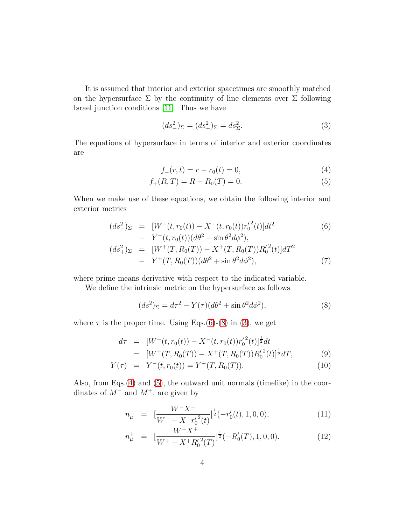It is assumed that interior and exterior spacetimes are smoothly matched on the hypersurface  $\Sigma$  by the continuity of line elements over  $\Sigma$  following Israel junction conditions [\[11\]](#page-10-10). Thus we have

<span id="page-3-2"></span>
$$
(ds_{-}^{2})_{\Sigma} = (ds_{+}^{2})_{\Sigma} = ds_{\Sigma}^{2}.
$$
 (3)

The equations of hypersurface in terms of interior and exterior coordinates are

<span id="page-3-3"></span>
$$
f_{-}(r,t) = r - r_0(t) = 0,
$$
\n(4)

$$
f_{+}(R,T) = R - R_{0}(T) = 0.
$$
\n(5)

When we make use of these equations, we obtain the following interior and exterior metrics

<span id="page-3-0"></span>
$$
(ds_{-}^{2})_{\Sigma} = [W^{-}(t, r_{0}(t)) - X^{-}(t, r_{0}(t))r_{0}'^{2}(t)]dt^{2}
$$
\n
$$
- Y^{-}(t, r_{0}(t))(d\theta^{2} + \sin \theta^{2} d\phi^{2}),
$$
\n
$$
(ds_{+}^{2})_{\Sigma} = [W^{+}(T, R_{0}(T)) - X^{+}(T, R_{0}(T))R_{0}'^{2}(t)]dT^{2}
$$
\n
$$
- Y^{+}(T, R_{0}(T))(d\theta^{2} + \sin \theta^{2} d\phi^{2}),
$$
\n(7)

where prime means derivative with respect to the indicated variable.

We define the intrinsic metric on the hypersurface as follows

<span id="page-3-1"></span>
$$
(ds2)\Sigma = d\tau2 - Y(\tau)(d\theta2 + \sin \theta2 d\phi2),
$$
\n(8)

where  $\tau$  is the proper time. Using Eqs.[\(6\)](#page-3-0)-[\(8\)](#page-3-1) in [\(3\)](#page-3-2), we get

<span id="page-3-4"></span>
$$
d\tau = [W^-(t, r_0(t)) - X^-(t, r_0(t))r_0'^2(t)]^{\frac{1}{2}}dt = [W^+(T, R_0(T)) - X^+(T, R_0(T))R_0'^2(t)]^{\frac{1}{2}}dT,
$$
(9)

$$
Y(\tau) = Y^{-}(t, r_{0}(t)) = Y^{+}(T, R_{0}(T)). \qquad (10)
$$

Also, from Eqs.[\(4\)](#page-3-3) and [\(5\)](#page-3-3), the outward unit normals (timelike) in the coordinates of  $M^-$  and  $M^+$ , are given by

$$
n_{\mu}^- = \left[ \frac{W^- X^-}{W^- - X^- r_0^{\prime 2}(t)} \right]^{\frac{1}{2}} (-r_0'(t), 1, 0, 0), \tag{11}
$$

$$
n_{\mu}^{+} = \left[\frac{W^{+}X^{+}}{W^{+} - X^{+}R_{0}^{\prime 2}(T)}\right]^{\frac{1}{2}}(-R_{0}^{\prime}(T), 1, 0, 0). \tag{12}
$$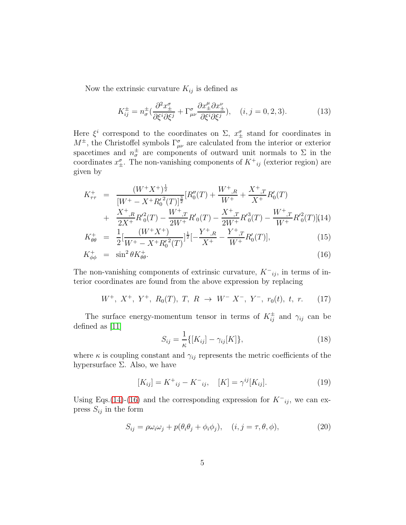Now the extrinsic curvature  $K_{ij}$  is defined as

$$
K_{ij}^{\pm} = n_{\sigma}^{\pm} \left( \frac{\partial^2 x_{\pm}^{\sigma}}{\partial \xi^i \partial \xi^j} + \Gamma_{\mu\nu}^{\sigma} \frac{\partial x_{\pm}^{\mu} \partial x_{\pm}^{\nu}}{\partial \xi^i \partial \xi^j} \right), \quad (i, j = 0, 2, 3). \tag{13}
$$

Here  $\xi^i$  correspond to the coordinates on  $\Sigma$ ,  $x^{\sigma}_{\pm}$  stand for coordinates in  $M^{\pm}$ , the Christoffel symbols  $\Gamma^{\sigma}_{\mu\nu}$  are calculated from the interior or exterior spacetimes and  $n_{\sigma}^{\pm}$  are components of outward unit normals to  $\Sigma$  in the coordinates  $x_+^{\sigma}$ . The non-vanishing components of  $K^+_{ij}$  (exterior region) are given by

<span id="page-4-0"></span>
$$
K_{\tau\tau}^{+} = \frac{(W^{+}X^{+})^{\frac{1}{2}}}{[W^{+} - X^{+}R_{0}'^{2}(T)]^{\frac{3}{2}}} [R_{0}''(T) + \frac{W^{+}_{R}}{W^{+}} + \frac{X^{+}_{R}}{X^{+}}R_{0}'(T) + \frac{X^{+}_{R}}{2X^{+}}R_{0}'^{2}(T) - \frac{W^{+}_{R}}{2W^{+}}R_{0}'(T) - \frac{X^{+}_{R}}{2W^{+}}R_{0}'^{3}(T) - \frac{W^{+}_{R}}{W^{+}}R_{0}'^{2}(T)](14) K_{\theta\theta}^{+} = \frac{1}{2} [\frac{(W^{+}X^{+})}{W^{+} - X^{+}R_{0}'^{2}(T)}]^{\frac{1}{2}} [-\frac{Y^{+}_{R}}{X^{+}} - \frac{Y^{+}_{R}}{W^{+}}R_{0}'(T)],
$$
\n(15)

$$
K_{\phi\phi}^+ = \sin^2\theta K_{\theta\theta}^+.
$$
\n(16)

The non-vanishing components of extrinsic curvature,  $K^-{}_{ij}$ , in terms of interior coordinates are found from the above expression by replacing

$$
W^+, X^+, Y^+, R_0(T), T, R \rightarrow W^- X^-, Y^-, r_0(t), t, r. \tag{17}
$$

The surface energy-momentum tensor in terms of  $K_{ij}^{\pm}$  and  $\gamma_{ij}$  can be defined as [\[11\]](#page-10-10)

$$
S_{ij} = \frac{1}{\kappa} \{ [K_{ij}] - \gamma_{ij} [K] \},\tag{18}
$$

where  $\kappa$  is coupling constant and  $\gamma_{ij}$  represents the metric coefficients of the hypersurface  $\Sigma$ . Also, we have

$$
[K_{ij}] = K^+_{ij} - K^-_{ij}, \quad [K] = \gamma^{ij} [K_{ij}]. \tag{19}
$$

Using Eqs.[\(14\)](#page-4-0)-[\(16\)](#page-4-0) and the corresponding expression for  $K^-{}_{ij}$ , we can express  $S_{ij}$  in the form

$$
S_{ij} = \rho \omega_i \omega_j + p(\theta_i \theta_j + \phi_i \phi_j), \quad (i, j = \tau, \theta, \phi), \tag{20}
$$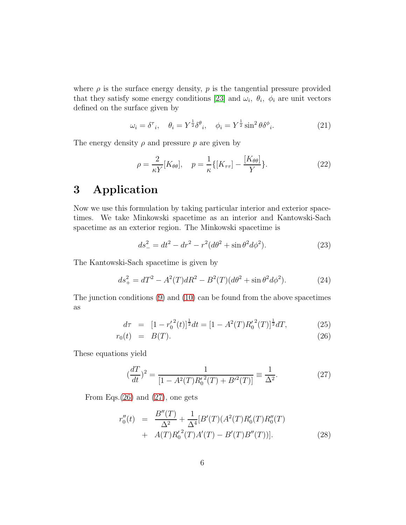where  $\rho$  is the surface energy density,  $p$  is the tangential pressure provided that they satisfy some energy conditions [\[23\]](#page-11-10) and  $\omega_i$ ,  $\theta_i$ ,  $\phi_i$  are unit vectors defined on the surface given by

$$
\omega_i = \delta^{\tau}_i, \quad \theta_i = Y^{\frac{1}{2}} \delta^{\theta}_i, \quad \phi_i = Y^{\frac{1}{2}} \sin^2 \theta \delta^{\phi}_i. \tag{21}
$$

The energy density  $\rho$  and pressure  $p$  are given by

$$
\rho = \frac{2}{\kappa Y} [K_{\theta\theta}], \quad p = \frac{1}{\kappa} \{ [K_{\tau\tau}] - \frac{[K_{\theta\theta}]}{Y} \}.
$$
 (22)

### 3 Application

Now we use this formulation by taking particular interior and exterior spacetimes. We take Minkowski spacetime as an interior and Kantowski-Sach spacetime as an exterior region. The Minkowski spacetime is

$$
ds_{-}^{2} = dt^{2} - dr^{2} - r^{2}(d\theta^{2} + \sin\theta^{2}d\phi^{2}).
$$
\n(23)

The Kantowski-Sach spacetime is given by

$$
ds_{+}^{2} = dT^{2} - A^{2}(T)dR^{2} - B^{2}(T)(d\theta^{2} + \sin \theta^{2} d\phi^{2}).
$$
 (24)

The junction conditions [\(9\)](#page-3-4) and [\(10\)](#page-3-4) can be found from the above spacetimes as

<span id="page-5-0"></span>
$$
d\tau = [1 - {r'_0}^2(t)]^{\frac{1}{2}} dt = [1 - A^2(T)R'_0{}^2(T)]^{\frac{1}{2}} dT,
$$
\n(25)

$$
r_0(t) = B(T). \tag{26}
$$

These equations yield

<span id="page-5-1"></span>
$$
\left(\frac{dT}{dt}\right)^2 = \frac{1}{\left[1 - A^2(T)R_0'^2(T) + B'^2(T)\right]} \equiv \frac{1}{\Delta^2}.\tag{27}
$$

From Eqs. $(26)$  and  $(27)$ , one gets

<span id="page-5-2"></span>
$$
r''_0(t) = \frac{B''(T)}{\Delta^2} + \frac{1}{\Delta^4} [B'(T)(A^2(T)R'_0(T)R''_0(T) + A(T)R'_0^2(T)A'(T) - B'(T)B''(T))].
$$
\n(28)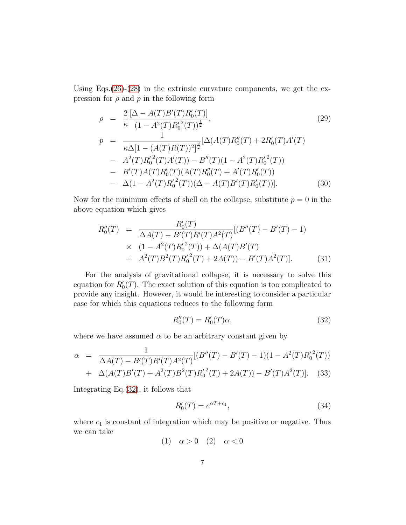Using Eqs. $(26)-(28)$  $(26)-(28)$  $(26)-(28)$  in the extrinsic curvature components, we get the expression for  $\rho$  and  $p$  in the following form

$$
\rho = \frac{2}{\kappa} \frac{[\Delta - A(T)B'(T)R_0'(T)]}{(1 - A^2(T)R_0'^2(T))^\frac{1}{2}},
$$
\n
$$
p = \frac{1}{\kappa \Delta [1 - (A(T)R(T))^2]^\frac{3}{2}} [\Delta(A(T)R_0''(T) + 2R_0'(T)A'(T) - A^2(T)R_0'^2(T)A'(T) - B''(T)(1 - A^2(T)R_0'^2(T)) - B'(T)A(T)R_0'(T)(A(T)R_0''(T) + A'(T)R_0'(T)) - \Delta(1 - A^2(T)R_0'^2(T))(\Delta - A(T)B'(T)R_0'(T))].
$$
\n(30)

Now for the minimum effects of shell on the collapse, substitute  $p = 0$  in the above equation which gives

$$
R_0''(T) = \frac{R_0'(T)}{\Delta A(T) - B'(T)R'(T)A^2(T)}[(B''(T) - B'(T) - 1)
$$
  
 
$$
\times (1 - A^2(T)R_0'^2(T)) + \Delta(A(T)B'(T)) + A^2(T)B^2(T)R_0'^2(T) + 2A(T)) - B'(T)A^2(T)].
$$
 (31)

For the analysis of gravitational collapse, it is necessary to solve this equation for  $R'_0(T)$ . The exact solution of this equation is too complicated to provide any insight. However, it would be interesting to consider a particular case for which this equations reduces to the following form

<span id="page-6-0"></span>
$$
R_0''(T) = R_0'(T)\alpha,
$$
\n
$$
(32)
$$

where we have assumed  $\alpha$  to be an arbitrary constant given by

$$
\alpha = \frac{1}{\Delta A(T) - B'(T)R'(T)A^2(T)}[(B''(T) - B'(T) - 1)(1 - A^2(T)R_0^2(T)) + \Delta(A(T)B'(T) + A^2(T)B^2(T)R_0^2(T) + 2A(T)) - B'(T)A^2(T)].
$$
 (33)

Integrating Eq.[\(32\)](#page-6-0), it follows that

<span id="page-6-1"></span>
$$
R_0'(T) = e^{\alpha T + c_1},\tag{34}
$$

where  $c_1$  is constant of integration which may be positive or negative. Thus we can take

(1)  $\alpha > 0$  (2)  $\alpha < 0$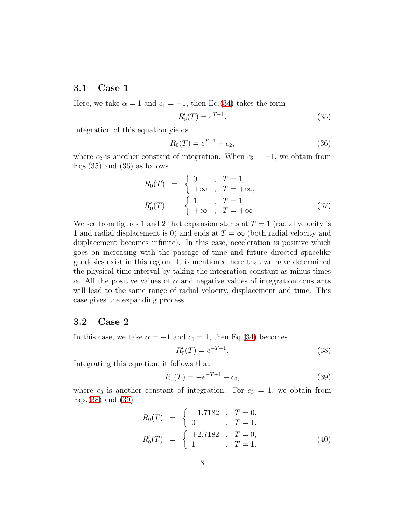### 3.1 Case 1

Here, we take  $\alpha = 1$  and  $c_1 = -1$ , then Eq.[\(34\)](#page-6-1) takes the form

$$
R_0'(T) = e^{T-1}.
$$
\n(35)

Integration of this equation yields

$$
R_0(T) = e^{T-1} + c_2,\t\t(36)
$$

where  $c_2$  is another constant of integration. When  $c_2 = -1$ , we obtain from Eqs.  $(35)$  and  $(36)$  as follows

$$
R_0(T) = \begin{cases} 0, & T = 1, \\ +\infty, & T = +\infty, \end{cases}
$$
  

$$
R'_0(T) = \begin{cases} 1, & T = 1, \\ +\infty, & T = +\infty \end{cases}
$$
 (37)

We see from figures 1 and 2 that expansion starts at  $T = 1$  (radial velocity is 1 and radial displacement is 0) and ends at  $T = \infty$  (both radial velocity and displacement becomes infinite). In this case, acceleration is positive which goes on increasing with the passage of time and future directed spacelike geodesics exist in this region. It is mentioned here that we have determined the physical time interval by taking the integration constant as minus times α. All the positive values of  $\alpha$  and negative values of integration constants will lead to the same range of radial velocity, displacement and time. This case gives the expanding process.

### 3.2 Case 2

In this case, we take  $\alpha = -1$  and  $c_1 = 1$ , then Eq.[\(34\)](#page-6-1) becomes

<span id="page-7-0"></span>
$$
R_0'(T) = e^{-T+1}.
$$
\n(38)

Integrating this equation, it follows that

<span id="page-7-1"></span>
$$
R_0(T) = -e^{-T+1} + c_3,\t\t(39)
$$

where  $c_3$  is another constant of integration. For  $c_3 = 1$ , we obtain from Eqs.[\(38\)](#page-7-0) and [\(39\)](#page-7-1)

$$
R_0(T) = \begin{cases} -1.7182, & T = 0, \\ 0, & T = 1, \end{cases}
$$
  
\n
$$
R'_0(T) = \begin{cases} +2.7182, & T = 0, \\ 1, & T = 1. \end{cases}
$$
 (40)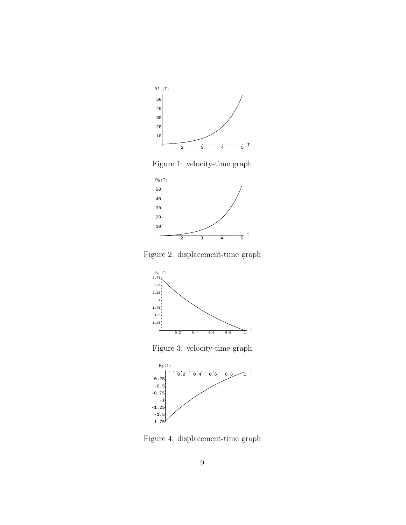

Figure 1: velocity-time graph



Figure 2: displacement-time graph



Figure 3: velocity-time graph



Figure 4: displacement-time graph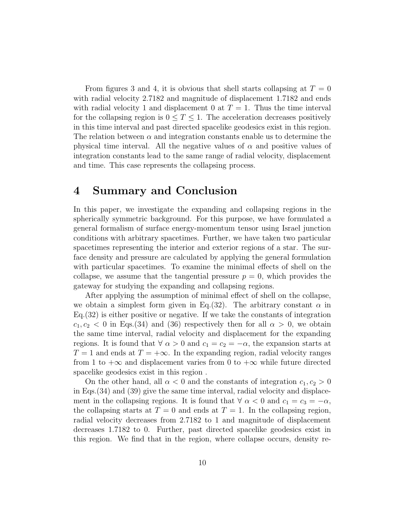From figures 3 and 4, it is obvious that shell starts collapsing at  $T = 0$ with radial velocity 2.7182 and magnitude of displacement 1.7182 and ends with radial velocity 1 and displacement 0 at  $T = 1$ . Thus the time interval for the collapsing region is  $0 \leq T \leq 1$ . The acceleration decreases positively in this time interval and past directed spacelike geodesics exist in this region. The relation between  $\alpha$  and integration constants enable us to determine the physical time interval. All the negative values of  $\alpha$  and positive values of integration constants lead to the same range of radial velocity, displacement and time. This case represents the collapsing process.

### 4 Summary and Conclusion

In this paper, we investigate the expanding and collapsing regions in the spherically symmetric background. For this purpose, we have formulated a general formalism of surface energy-momentum tensor using Israel junction conditions with arbitrary spacetimes. Further, we have taken two particular spacetimes representing the interior and exterior regions of a star. The surface density and pressure are calculated by applying the general formulation with particular spacetimes. To examine the minimal effects of shell on the collapse, we assume that the tangential pressure  $p = 0$ , which provides the gateway for studying the expanding and collapsing regions.

After applying the assumption of minimal effect of shell on the collapse, we obtain a simplest form given in Eq.(32). The arbitrary constant  $\alpha$  in Eq.(32) is either positive or negative. If we take the constants of integration  $c_1, c_2 < 0$  in Eqs.(34) and (36) respectively then for all  $\alpha > 0$ , we obtain the same time interval, radial velocity and displacement for the expanding regions. It is found that  $\forall \alpha > 0$  and  $c_1 = c_2 = -\alpha$ , the expansion starts at  $T = 1$  and ends at  $T = +\infty$ . In the expanding region, radial velocity ranges from 1 to  $+\infty$  and displacement varies from 0 to  $+\infty$  while future directed spacelike geodesics exist in this region .

On the other hand, all  $\alpha < 0$  and the constants of integration  $c_1, c_2 > 0$ in Eqs.(34) and (39) give the same time interval, radial velocity and displacement in the collapsing regions. It is found that  $\forall \alpha < 0$  and  $c_1 = c_3 = -\alpha$ , the collapsing starts at  $T = 0$  and ends at  $T = 1$ . In the collapsing region, radial velocity decreases from 2.7182 to 1 and magnitude of displacement decreases 1.7182 to 0. Further, past directed spacelike geodesics exist in this region. We find that in the region, where collapse occurs, density re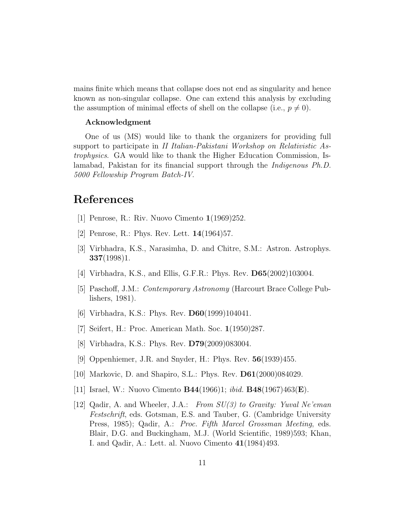mains finite which means that collapse does not end as singularity and hence known as non-singular collapse. One can extend this analysis by excluding the assumption of minimal effects of shell on the collapse (i.e.,  $p \neq 0$ ).

#### Acknowledgment

One of us (MS) would like to thank the organizers for providing full support to participate in *II Italian-Pakistani Workshop on Relativistic Astrophysics*. GA would like to thank the Higher Education Commission, Islamabad, Pakistan for its financial support through the *Indigenous Ph.D. 5000 Fellowship Program Batch-IV*.

## <span id="page-10-0"></span>References

- <span id="page-10-1"></span>[1] Penrose, R.: Riv. Nuovo Cimento 1(1969)252.
- <span id="page-10-2"></span>[2] Penrose, R.: Phys. Rev. Lett. 14(1964)57.
- <span id="page-10-3"></span>[3] Virbhadra, K.S., Narasimha, D. and Chitre, S.M.: Astron. Astrophys.  $337(1998)1$ .
- <span id="page-10-4"></span>[4] Virbhadra, K.S., and Ellis, G.F.R.: Phys. Rev. D65(2002)103004.
- <span id="page-10-5"></span>[5] Paschoff, J.M.: *Contemporary Astronomy* (Harcourt Brace College Publishers, 1981).
- <span id="page-10-6"></span>[6] Virbhadra, K.S.: Phys. Rev. D60(1999)104041.
- <span id="page-10-7"></span>[7] Seifert, H.: Proc. American Math. Soc. 1(1950)287.
- <span id="page-10-8"></span>[8] Virbhadra, K.S.: Phys. Rev. D79(2009)083004.
- <span id="page-10-9"></span>[9] Oppenhiemer, J.R. and Snyder, H.: Phys. Rev. 56(1939)455.
- <span id="page-10-10"></span>[10] Markovic, D. and Shapiro, S.L.: Phys. Rev. D61(2000)084029.
- <span id="page-10-11"></span>[11] Israel, W.: Nuovo Cimento B44(1966)1; *ibid.* B48(1967)463(E).
- [12] Qadir, A. and Wheeler, J.A.: *From SU(3) to Gravity: Yuval Ne'eman Festschrift*, eds. Gotsman, E.S. and Tauber, G. (Cambridge University Press, 1985); Qadir, A.: *Proc. Fifth Marcel Grossman Meeting*, eds. Blair, D.G. and Buckingham, M.J. (World Scientific, 1989)593; Khan, I. and Qadir, A.: Lett. al. Nuovo Cimento 41(1984)493.